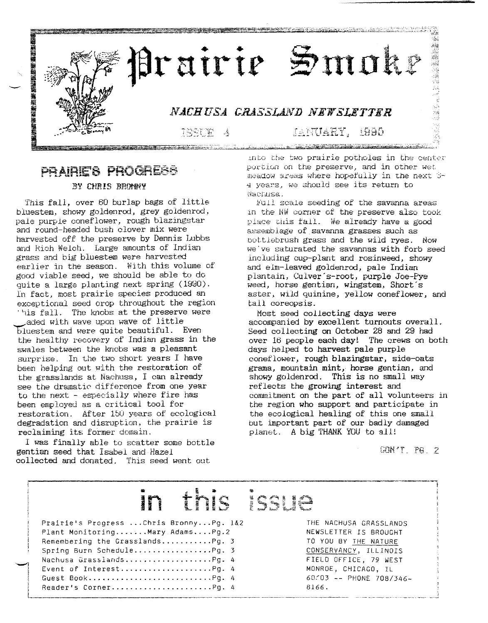

#### PRAIRIE'S PROGRESS BY CHRIS BROWNY

This fall, over 60 burlap bags of little bluestem, showy goldenrod, grey goldenrod, pale purple coneflower, rough blazingstar *and* round-headed bush clover mix were harvested off the preserve by Dennis Lubbs and Rich Welch. Large amounts of Indian grass and big bluestem were harvested earlier in the season. With this volume of good viable seed, we should be able to do quite a large planting next spring (1990). In fact, most prairie species produced an exceptional seed crop throughout the region 'is fall. The knobs at the preserve were .aded with wave upon wave of little bluestem and were quite beautiful. Even the healthy recovery of Indian grass in the swales between the knobs was a pleasant surprise. In the two short years I have been helping out with the restoration of the grasslands at Nachusa, I can already see the dramatic difference from one year to the next - especially where fire has been employed as a critical tool for restoration. After 150 years of ecological degradation and disruption, the prairie is reclaiming its former domain.

I was finally able to scatter some bottle gentian seed that Isabel 811d Hazel collected and donated. This seed went out

~I j 1

l\_.

into the two prairie potholes in the center purticn on the preserve, and in other wet meadow areas where hopefully in the next 3-4 years, we should see its return to

Full scale seeding of the savanna areas in the NW corner of the preserve also took place this fall. We already have a good aeaemb Iage of. savanna grasses such as bottlebrush grass and the wild ryes. Now we've saturated the savannas with forb seed ineluding cup-plant and rosinweed, showy and elm-leaved goldenrod, pale Indian plantain, Culver's-root, purple Joe-Pye weed, horse gentian, wingstem, Short's aster, wild guinine, yellow coneflower, and tall coreopsis.

Most seed collecting days were accompanied by excellent turnouts overall. Seed collecting on October 28 and 29 had over 16 people each day! The crews on both days helped to harvest pale purple eoneflower, rough blazingstar, side-oats grama, mountain mint, horse gentian, and showy goldenrod. This is no small way reflects the growing interest and commitment on the part of all volunteers in the region who support and participate in the ecological healing of this one small but important part of our badly damaged planet. A big THANK YOU to all!

 $CRN^*T$   $P6.2$ 

#### .<br>Ie tri a!rH!' b~ **;ribF** Prairie's Progress ... Chris Bronny ... Pg. 1&2 Plant Monitoring.......Mary Adams....Pg.2 Remembering the Grasslands...........Pg. 3 Spring Burn Schedule......................Pg. 3 Nachusa Grasslands....................Pg. 4 Event of Interest. Pg. 4 Guest Book Pg. 4  $\text{Reader's Corner} \dots \dots \dots \dots \dots \dots \dots \dots \dots \dots \dots \dots \dots$ THE NACHUSA GRASSLANDS NEWSLETTER IS BROUGHT TO YOU BY THE NATURE CONSERVANCY, ILLINOIS FIELD OFFICE, 79 WEST MONROE, CHICAGO, IL 60:03 -- PHONE 708/346- 8166.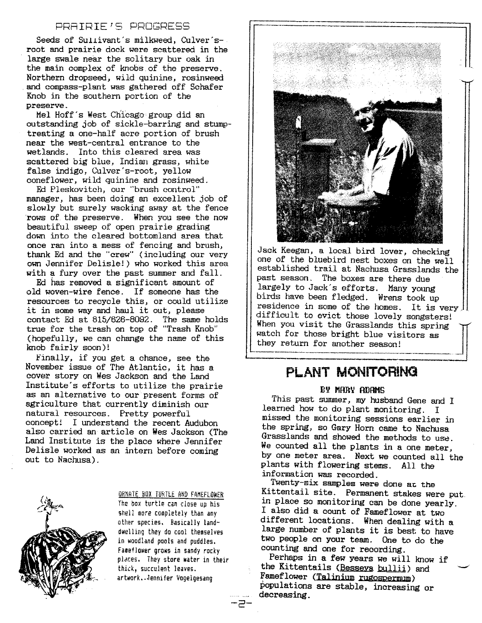#### PRRIRIE'S PROGRESS

Seeds of Sullivant's milkweed, Culver'sroot and prairie dock were scattered in the large swale near the solitary bur oak in the main complex of knobs.of the preserve. Northern dropseed, wild quinine, rosinweed and compass-plant was gathered off Schafer Knob in the southern portion of the preserve.

Mel Hoff's West Chicago group did an outstanding job of sickle-barring and stumptreating a one-half acre portion of brush near the west-central entrance to the wetlands. Into this cleared area was scattered big blue, Indian grass, white false indigo, Culver's-root, yellow coneflower, wild quinine and rosinweed.

Ed Pleskovitch, our "brush control" manager, has been doing an excellent job of slowly but surely wacking away at the fence 'rows of the preserve. When you see the now beautiful sweep of open prairie grading down into the cleared bottomland area that once ran into a mess of fencing and brush, thank Ed and the "crew" (including our very own Jennifer Delisle!) who worked this area with a fury over the past summer and fall.

Ed has removed a significant amount of old woven-wire fence. If someone has the resources to recycle this, or could utilize it in some way and haul it out, please contact Ed at 815/626-8092. The same holds true for the trash on top of "Trash Knob" (hopefully, we can change the name of this knob fairly soon)!

Finally, if you get a chance, see the November issue of The Atlantic, it has a cover story on Wes Jackson and the Land Institute's efforts to utilize the prairie as an alternative to our present forms of agriculture that currently diminish our natural resources. Pretty powerful concept! I understand the recent Audubon also carried an article on Wes Jackson (The Land Institute is the place where Jennifer Delisle worked as an intern before coming out to Nachusa).



ORNATE BOX TURTLE AND FAMEFLOWER

The box turtle can close up his shell more completely than any other species. Basically landdwelling they do cool themselves in woodland poois and puddles. Fameflower grows in sandy rocky pl&ces. *They* store water in their thick, succulent leaves. artwork •.Jennifer Vogelgesang



Jack Keegan, a local bird lover, checking one of the bluebird nest boxes on the well established trail at Nachusa Grasslands the past season. The boxes are there due largely to Jack's efforts. Many young birds have been fledged. Wrens took up residence in some of the homes. It is very difficult to evict those lovely songsters! When you visit the Grasslands this spring watch for those bright blue visitors as they return for another season!

## PLANT MONITORING

#### BY MARY ADAMS

This past summer, my husband Gene and I learned how to do plant monitoring. I missed the monitoring sessions earlier in the spring, so Gary Horn came to Nachusa Grasslands and showed the methods to use. We counted all the plants in a one meter, by one meter area. Next we counted all the plants with flowering stems. All the information was recorded.

Twenty-six samples were done at the Kittentail site. Permanent stakes were put in place so monitoring can be done yearly. I also did a count of Fameflower at two different locations. When dealing with a large number of plants it is best to have two people on your team. One to do the counting and one for recording.

Perhaps in a few years we will know if the Kittentails (Besseya bullii) and Fameflower (Talinium rugospermum) populations are stable, increasing or decreasing.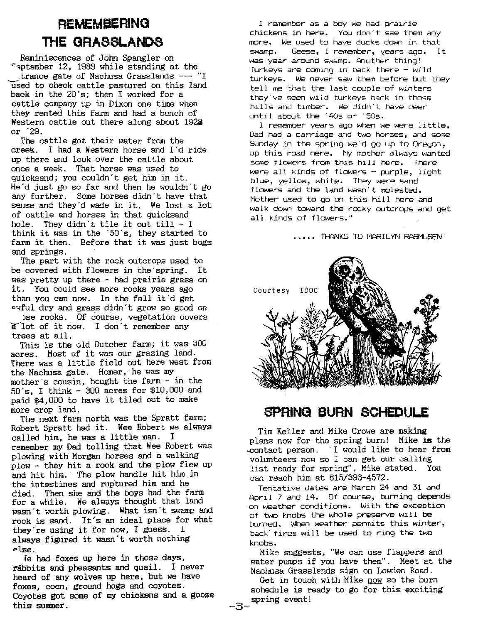# **REMEMBERING THE GRASSLANDS**

Reminiscences of John Spangler on C~ptember 12, 1989 while standing at the .trance gate of Nachusa Grasslands --- "I 'USed to check cattle pastured on this land back in the 20's; then I worked for a cattle company up in Dixon one time when they rented this farm and had a bunch of Western cattle out there along about 1928 or '29.

The cattle got their water from the creek. I had a Western horse and I'd ride up there and look over the cattle about once a week. That horse was used to quicksand; you couldn't get him in it. He'd just go so far and then he wouldn't go any further. Some horses didn't have that sense and they'd wade in it. We lost a lot of cattle and horses in that quicksand hole. They didn't tile it *out* till - I think it was in the '50 's, they started to farm it then. Before that it was just bogs and springs.

The part with the rock outcrops used to be covered with flowers in the spring. It was pretty up there - had prairie grass on it. You could see more rocks years ago than you can now. In the fall it'd get ~qful dry and grass didn't grow so good on )se rocks. Of course, vegetation covers alot of it now. I don't remember any trees at all.

This is the old Dutcher farm; it was 300 acres. Most of it was our grazing land. There was a little field out here west from the Nachusa gate. Homer, he was my mother's cousin, bought the farm - in the 50's, I think - 300 acres for \$10,000 and paid \$4,000 to have it tiled out to make more crop land.

The next farm north was the Spratt farm; Robert Spratt had it. Wee Robert we always called him, he was a little man. I remember my Dad telling that Wee Robert was plowing with Morgan horses and a walking plow - they hit a rock and the plow flew up and hit him. The plow handle hit him in the intestines and ruptured him and he died. Then she and the boys had the farm for a while. We always thought that land wasn't worth plowing. What isn't swamp and rock is sand. It's an ideal place for what they're using it 'for now, I guess. <sup>I</sup> always figured it wasn't worth nothing plse.

fe had foxes up here in those days, rabbits and pheasants and quail. I never heard of any wolves up here, but we have foxes, coon, ground hogs and coyotes. Coyotes got some of my chickens and a goose this summer.

I remember as a boy we had prairie chickens in here. You don' t see them any more. We used to have ducks down in that swamp. Geese, I remember, years ago. It was year around swamp. Another thing! Turkeys are coming in back there  $-$  wild turkeys. We never saw them before but they tell me that the last couple of winters they've seen wild turkeys back in those hills and timber. We didn't have deer until about the '40s or '50s.

I remember years ago when we were little, Dad had a carriage and two horses, and some Sunday in the spring we'd go up to Oregon, up this road here. My mother always wanted some flowers from this hill here. There were all kinds of flowers - purple, light blue, yellow, white. They were sand flowers and the land wasn't molested. Mother used to go on this hill here and walk down toward the rocky outcrops and get all kinds of flowers."

..... THANKS TO MARILYN RASMUSEN!



### **SPRING BURN SCHEDULE**

Tim Keller and Mike Crowe are making plans now for the spring burn! Mike is the .contact person. "I would like to hear from volunteers now so I can get our calling list ready for spring", Mike stated. You can reach him at *815/393-4572.*

Tentative dates are March 24 and 31 and April <sup>7</sup> and 14. Of course, burning depends on weather conditions. With the exception of two knobs the whole preserve will be burned. When weather permits this winter, back' fires will be used to ring the two knobs.

Mike suggests, "We can use flappers and water pumps if you have them". Meet at the Nachusa Grasslands sign on Lowden Road.

Get in touch with Mike now so the burn schedule is ready to go for this exciting spring event!

-3-